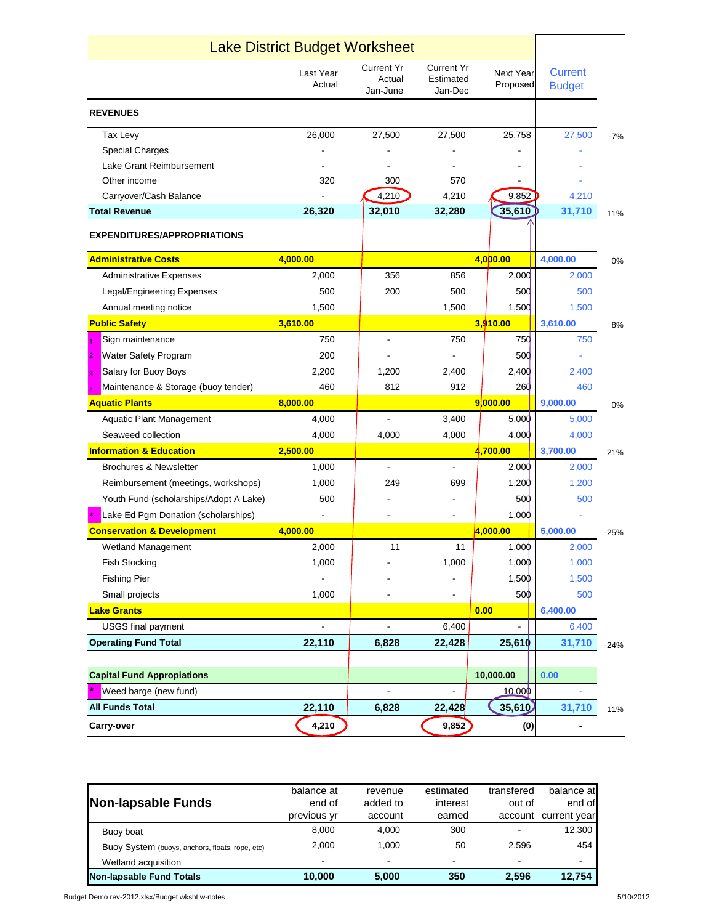|                                        | <b>Lake District Budget Worksheet</b> |                                         |                                           |                              |                                 |        |
|----------------------------------------|---------------------------------------|-----------------------------------------|-------------------------------------------|------------------------------|---------------------------------|--------|
|                                        | Last Year<br>Actual                   | <b>Current Yr</b><br>Actual<br>Jan-June | <b>Current Yr</b><br>Estimated<br>Jan-Dec | <b>Next Year</b><br>Proposed | <b>Current</b><br><b>Budget</b> |        |
| <b>REVENUES</b>                        |                                       |                                         |                                           |                              |                                 |        |
| Tax Levy                               | 26,000                                | 27,500                                  | 27,500                                    | 25,758                       | 27,500                          | $-7%$  |
| <b>Special Charges</b>                 |                                       |                                         |                                           |                              |                                 |        |
| Lake Grant Reimbursement               |                                       |                                         |                                           |                              |                                 |        |
| Other income                           | 320                                   | 300                                     | 570                                       |                              |                                 |        |
| Carryover/Cash Balance                 |                                       | 4,210                                   | 4,210                                     | 9,852                        | 4,210                           |        |
| <b>Total Revenue</b>                   | 26,320                                | 32,010                                  | 32,280                                    | 35,610                       | 31,710                          | 11%    |
| <b>EXPENDITURES/APPROPRIATIONS</b>     |                                       |                                         |                                           |                              |                                 |        |
| <b>Administrative Costs</b>            | 4,000.00                              |                                         |                                           | 4,000.00                     | 4,000.00                        | 0%     |
| <b>Administrative Expenses</b>         | 2,000                                 | 356                                     | 856                                       | 2,000                        | 2,000                           |        |
| Legal/Engineering Expenses             | 500                                   | 200                                     | 500                                       | 500                          | 500                             |        |
| Annual meeting notice                  | 1,500                                 |                                         | 1,500                                     | 1,500                        | 1,500                           |        |
| <b>Public Safety</b>                   | 3,610.00                              |                                         |                                           | 3,910.00                     | 3,610.00                        | 8%     |
| Sign maintenance<br>1                  | 750                                   |                                         | 750                                       | <b>750</b>                   | 750                             |        |
| <b>Water Safety Program</b><br>2       | 200                                   |                                         |                                           | 50 <sub>0</sub>              |                                 |        |
| Salary for Buoy Boys<br>3              | 2,200                                 | 1,200                                   | 2,400                                     | 2,400                        | 2,400                           |        |
| Maintenance & Storage (buoy tender)    | 460                                   | 812                                     | 912                                       | 260                          | 460                             |        |
| <b>Aquatic Plants</b>                  | 8,000.00                              |                                         |                                           | 9 000.00                     | 9,000.00                        | 0%     |
| <b>Aquatic Plant Management</b>        | 4,000                                 |                                         | 3,400                                     | 5,000                        | 5,000                           |        |
| Seaweed collection                     | 4,000                                 | 4,000                                   | 4,000                                     | 4,000                        | 4,000                           |        |
| <b>Information &amp; Education</b>     | 2,500.00                              |                                         |                                           | 4,700.00                     | 3,700.00                        | 21%    |
| <b>Brochures &amp; Newsletter</b>      | 1,000                                 | ÷,                                      |                                           | 2,000                        | 2,000                           |        |
| Reimbursement (meetings, workshops)    | 1,000                                 | 249                                     | 699                                       | 1,200                        | 1,200                           |        |
| Youth Fund (scholarships/Adopt A Lake) | 500                                   |                                         |                                           | 500                          | 500                             |        |
| Lake Ed Pgm Donation (scholarships)    |                                       |                                         |                                           | 1,000                        |                                 |        |
| <b>Conservation &amp; Development</b>  | 4,000.00                              |                                         |                                           | 4,000.00                     | 5,000.00                        | $-25%$ |
| Wetland Management                     | 2,000                                 | 11                                      | 11                                        | 1,000                        | 2,000                           |        |
| <b>Fish Stocking</b>                   | 1,000                                 |                                         | 1,000                                     | 1,000                        | 1,000                           |        |
| <b>Fishing Pier</b>                    |                                       |                                         |                                           | 1,500                        | 1,500                           |        |
| Small projects                         | 1,000                                 |                                         |                                           | 500                          | 500                             |        |
| <b>Lake Grants</b>                     |                                       |                                         |                                           | 0.00                         | 6,400.00                        |        |
| <b>USGS final payment</b>              |                                       |                                         | 6,400                                     | $\blacksquare$               | 6,400                           |        |
| <b>Operating Fund Total</b>            | 22,110                                | 6,828                                   | 22,428                                    | 25,610                       | 31,710                          | $-24%$ |
|                                        |                                       |                                         |                                           |                              |                                 |        |
| <b>Capital Fund Appropiations</b>      |                                       |                                         |                                           | 10,000.00                    | 0.00                            |        |
| Weed barge (new fund)                  |                                       |                                         | $\overline{\phantom{a}}$                  | 10.000                       |                                 |        |
| <b>All Funds Total</b>                 | 22,110                                | 6,828                                   | 22,428                                    | 35,610                       | 31,710                          | 11%    |
| Carry-over                             | 4,210                                 |                                         | 9,852                                     | (0)                          |                                 |        |

| Buoy boat<br>Buoy System (buoys, anchors, floats, rope, etc) | 8.000<br>2.000 | 4.000<br>1.000 | 300<br>50 | ۰<br>2.596 | 12,300<br>454 |
|--------------------------------------------------------------|----------------|----------------|-----------|------------|---------------|
| Wetland acquisition                                          |                | ۰              |           | $\sim$     |               |
| Non-lapsable Fund Totals                                     | 10,000         | 5,000          | 350       | 2,596      | 12,754        |

Budget Demo rev-2012.xlsx/Budget wksht w-notes 5/10/2012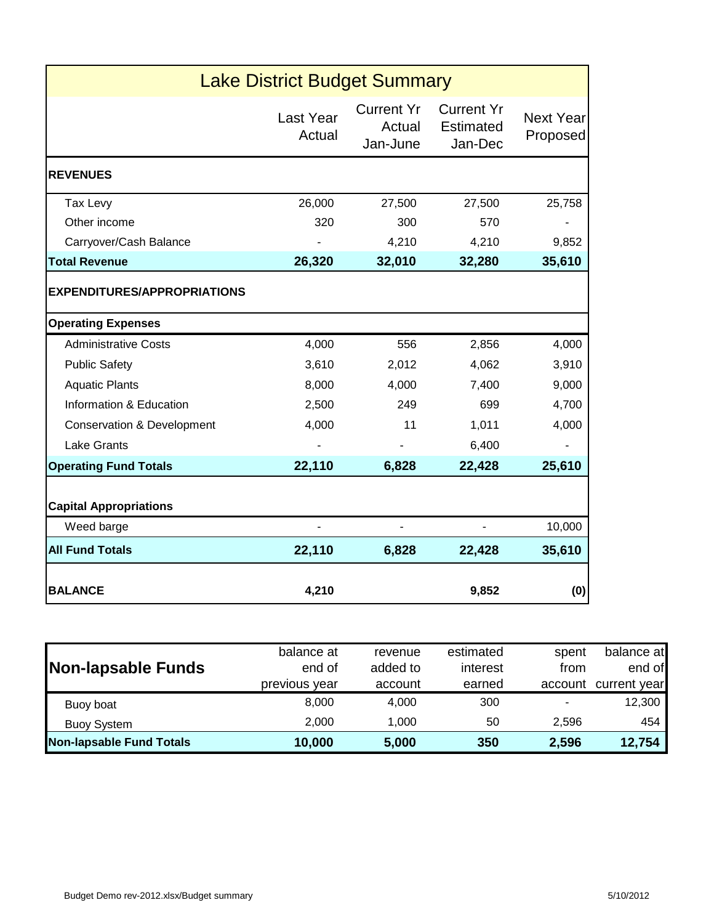|                                                          | <b>Lake District Budget Summary</b> |                                         |                                           |                              |
|----------------------------------------------------------|-------------------------------------|-----------------------------------------|-------------------------------------------|------------------------------|
|                                                          | Last Year<br>Actual                 | <b>Current Yr</b><br>Actual<br>Jan-June | <b>Current Yr</b><br>Estimated<br>Jan-Dec | <b>Next Year</b><br>Proposed |
| <b>REVENUES</b>                                          |                                     |                                         |                                           |                              |
| Tax Levy                                                 | 26,000                              | 27,500                                  | 27,500                                    | 25,758                       |
| Other income                                             | 320                                 | 300                                     | 570                                       |                              |
| Carryover/Cash Balance                                   |                                     | 4,210                                   | 4,210                                     | 9,852                        |
| <b>Total Revenue</b>                                     | 26,320                              | 32,010                                  | 32,280                                    | 35,610                       |
| <b>EXPENDITURES/APPROPRIATIONS</b>                       |                                     |                                         |                                           |                              |
| <b>Operating Expenses</b><br><b>Administrative Costs</b> | 4,000                               | 556                                     | 2,856                                     | 4,000                        |
| <b>Public Safety</b>                                     | 3,610                               | 2,012                                   | 4,062                                     | 3,910                        |
|                                                          |                                     |                                         |                                           |                              |
| <b>Aquatic Plants</b>                                    | 8,000                               | 4,000                                   | 7,400                                     | 9,000                        |
| Information & Education                                  | 2,500                               | 249                                     | 699                                       | 4,700                        |
| <b>Conservation &amp; Development</b>                    | 4,000                               | 11                                      | 1,011                                     | 4,000                        |
| <b>Lake Grants</b>                                       |                                     |                                         | 6,400                                     |                              |
| <b>Operating Fund Totals</b>                             | 22,110                              | 6,828                                   | 22,428                                    | 25,610                       |
| <b>Capital Appropriations</b>                            |                                     |                                         |                                           |                              |
| Weed barge                                               |                                     |                                         |                                           | 10,000                       |
| <b>All Fund Totals</b>                                   | 22,110                              | 6,828                                   | 22,428                                    | 35,610                       |
| <b>BALANCE</b>                                           | 4,210                               |                                         | 9,852                                     | (0)                          |

|                          | balance at    | revenue  | estimated | spent   | balance at   |
|--------------------------|---------------|----------|-----------|---------|--------------|
| Non-lapsable Funds       | end of        | added to | interest  | from    | end of       |
|                          | previous year | account  | earned    | account | current year |
| Buoy boat                | 8.000         | 4.000    | 300       |         | 12,300       |
| <b>Buoy System</b>       | 2.000         | 1.000    | 50        | 2.596   | 454          |
| Non-lapsable Fund Totals | 10,000        | 5,000    | 350       | 2,596   | 12,754       |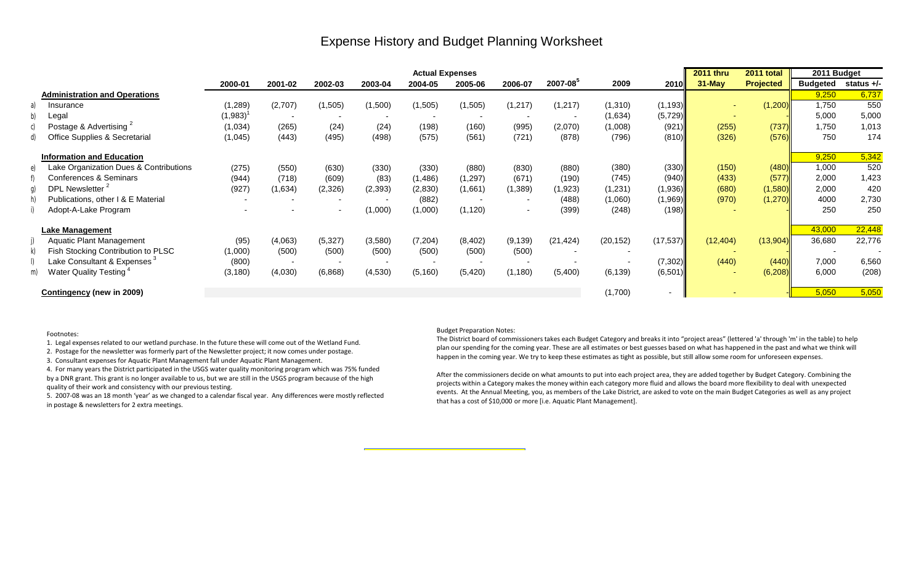#### Expense History and Budget Planning Worksheet

|    |                                          |                      |         |          |          | <b>Actual Expenses</b> |          |                          |               |           |           | <b>2011 thru</b> | 2011 total       | 2011 Budget              |              |
|----|------------------------------------------|----------------------|---------|----------|----------|------------------------|----------|--------------------------|---------------|-----------|-----------|------------------|------------------|--------------------------|--------------|
|    |                                          | 2000-01              | 2001-02 | 2002-03  | 2003-04  | 2004-05                | 2005-06  | 2006-07                  | $2007 - 08^5$ | 2009      | 2010      | $31$ -May        | <b>Projected</b> | <b>Budgeted</b>          | status $+/-$ |
|    | <b>Administration and Operations</b>     |                      |         |          |          |                        |          |                          |               |           |           |                  |                  | 9,250                    | 6,737        |
|    | Insurance                                | (1, 289)             | (2,707) | (1,505)  | (1,500)  | (1,505)                | (1,505)  | (1,217)                  | (1,217)       | (1,310)   | (1, 193)  |                  | (1,200)          | 1,750                    | 550          |
|    | Legal                                    | $(1,983)^{^{\circ}}$ |         |          |          |                        |          |                          |               | (1,634)   | (5, 729)  |                  |                  | 5,000                    | 5,000        |
|    | Postage & Advertising <sup>2</sup>       | (1,034)              | (265)   | (24)     | (24)     | (198)                  | (160)    | (995)                    | (2,070)       | (1,008)   | (921)     | (255)            | (737)            | 1,750                    | 1,013        |
|    | <b>Office Supplies &amp; Secretarial</b> | (1,045)              | (443)   | (495)    | (498)    | (575)                  | (561)    | (721)                    | (878)         | (796)     | (810)     | (326)            | (576)            | 750                      | 174          |
|    | <b>Information and Education</b>         |                      |         |          |          |                        |          |                          |               |           |           |                  |                  | 9,250                    | 5,342        |
|    | Lake Organization Dues & Contributions   | (275)                | (550)   | (630)    | (330)    | (330)                  | (880)    | (830)                    | (880)         | (380)     | (330)     | (150)            | (480)            | 1,000                    | 520          |
|    | Conferences & Seminars                   | (944)                | (718)   | (609)    | (83)     | (1,486)                | (1, 297) | (671)                    | (190)         | (745)     | (940)     | (433)            | (577)            | 2,000                    | 1,423        |
|    | DPL Newsletter <sup>2</sup>              | (927)                | (1,634) | (2,326)  | (2, 393) | (2,830)                | (1,661)  | (1, 389)                 | (1, 923)      | (1,231)   | (1,936)   | (680)            | (1,580)          | 2,000                    | 420          |
|    | Publications, other I & E Material       |                      |         |          |          | (882)                  |          |                          | (488)         | (1,060)   | (1,969)   | (970)            | (1, 270)         | 4000                     | 2,730        |
|    | Adopt-A-Lake Program                     |                      |         | $\sim$   | (1,000)  | (1,000)                | (1, 120) | $\overline{\phantom{a}}$ | (399)         | (248)     | (198)     |                  |                  | 250                      | 250          |
|    | Lake Management                          |                      |         |          |          |                        |          |                          |               |           |           |                  |                  | 43,000                   | 22,448       |
|    | <b>Aquatic Plant Management</b>          | (95)                 | (4,063) | (5, 327) | (3,580)  | (7, 204)               | (8,402)  | (9, 139)                 | (21, 424)     | (20, 152) | (17, 537) | (12, 404)        | (13,904)         | 36,680                   | 22,776       |
|    | Fish Stocking Contribution to PLSC       | (1,000)              | (500)   | (500)    | (500)    | (500)                  | (500)    | (500)                    |               |           |           |                  |                  | $\overline{\phantom{a}}$ |              |
|    | Lake Consultant & Expenses $^3$          | (800)                |         |          |          |                        |          |                          |               |           | (7, 302)  | (440)            | (440)            | 7,000                    | 6,560        |
| m) | Water Quality Testing                    | (3, 180)             | (4,030) | (6,868)  | (4, 530) | (5, 160)               | (5, 420) | (1, 180)                 | (5,400)       | (6, 139)  | (6,501)   |                  | (6,208)          | 6,000                    | (208)        |
|    | <b>Contingency (new in 2009)</b>         |                      |         |          |          |                        |          |                          |               | (1,700)   | $\sim$    |                  |                  | 5,050                    | 5,050        |

#### Budget Preparation Notes:

The District board of commissioners takes each Budget Category and breaks it into "project areas" (lettered 'a' through 'm' in the table) to help plan our spending for the coming year. These are all estimates or best guesses based on what has happened in the past and what we think will happen in the coming year. We try to keep these estimates as tight as possible, but still allow some room for unforeseen expenses.

After the commissioners decide on what amounts to put into each project area, they are added together by Budget Category. Combining the projects within a Category makes the money within each category more fluid and allows the board more flexibility to deal with unexpected events. At the Annual Meeting, you, as members of the Lake District, are asked to vote on the main Budget Categories as well as any project that has a cost of \$10,000 or more [i.e. Aquatic Plant Management].

Footnotes:

1. Legal expenses related to our wetland purchase. In the future these will come out of the Wetland Fund.

2. Postage for the newsletter was formerly part of the Newsletter project; it now comes under postage.

3. Consultant expenses for Aquatic Plant Management fall under Aquatic Plant Management.

4. For many years the District participated in the USGS water quality monitoring program which was 75% funded by a DNR grant. This grant is no longer available to us, but we are still in the USGS program because of the high quality of their work and consistency with our previous testing.

5. 2007-08 was an 18 month 'year' as we changed to a calendar fiscal year. Any differences were mostly reflected in postage & newsletters for 2 extra meetings.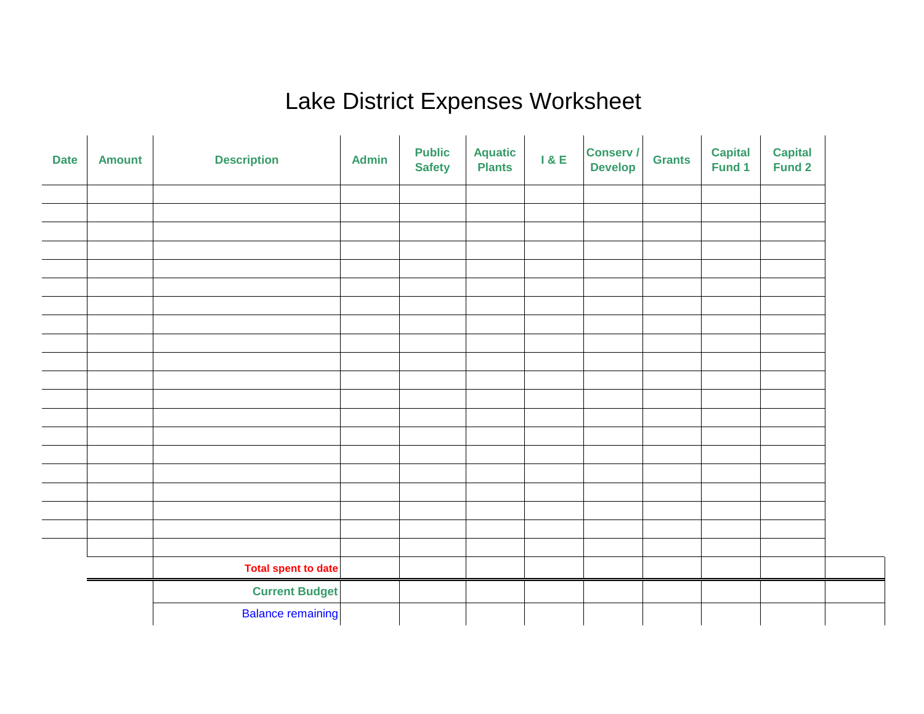#### Lake District Expenses Worksheet

| <b>Date</b> | <b>Amount</b> | <b>Description</b>       | <b>Admin</b> | <b>Public</b><br><b>Safety</b> | <b>Aquatic</b><br><b>Plants</b> | 1 & E | <b>Conserv /</b><br><b>Develop</b> | <b>Grants</b> | <b>Capital</b><br>Fund 1 | <b>Capital</b><br><b>Fund 2</b> |  |
|-------------|---------------|--------------------------|--------------|--------------------------------|---------------------------------|-------|------------------------------------|---------------|--------------------------|---------------------------------|--|
|             |               |                          |              |                                |                                 |       |                                    |               |                          |                                 |  |
|             |               |                          |              |                                |                                 |       |                                    |               |                          |                                 |  |
|             |               |                          |              |                                |                                 |       |                                    |               |                          |                                 |  |
|             |               |                          |              |                                |                                 |       |                                    |               |                          |                                 |  |
|             |               |                          |              |                                |                                 |       |                                    |               |                          |                                 |  |
|             |               |                          |              |                                |                                 |       |                                    |               |                          |                                 |  |
|             |               |                          |              |                                |                                 |       |                                    |               |                          |                                 |  |
|             |               |                          |              |                                |                                 |       |                                    |               |                          |                                 |  |
|             |               |                          |              |                                |                                 |       |                                    |               |                          |                                 |  |
|             |               |                          |              |                                |                                 |       |                                    |               |                          |                                 |  |
|             |               |                          |              |                                |                                 |       |                                    |               |                          |                                 |  |
|             |               |                          |              |                                |                                 |       |                                    |               |                          |                                 |  |
|             |               |                          |              |                                |                                 |       |                                    |               |                          |                                 |  |
|             |               |                          |              |                                |                                 |       |                                    |               |                          |                                 |  |
|             |               |                          |              |                                |                                 |       |                                    |               |                          |                                 |  |
|             |               |                          |              |                                |                                 |       |                                    |               |                          |                                 |  |
|             |               |                          |              |                                |                                 |       |                                    |               |                          |                                 |  |
|             |               | Total spent to date      |              |                                |                                 |       |                                    |               |                          |                                 |  |
|             |               | <b>Current Budget</b>    |              |                                |                                 |       |                                    |               |                          |                                 |  |
|             |               | <b>Balance remaining</b> |              |                                |                                 |       |                                    |               |                          |                                 |  |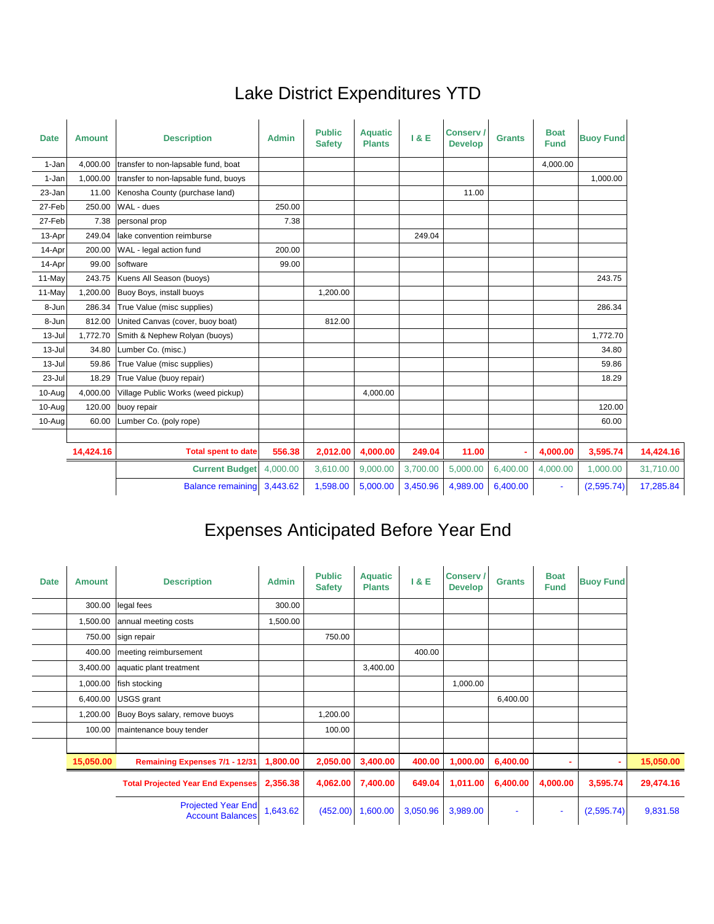## Lake District Expenditures YTD

| <b>Date</b> | <b>Amount</b> | <b>Description</b>                   | <b>Admin</b> | <b>Public</b><br><b>Safety</b> | <b>Aquatic</b><br><b>Plants</b> | 1 & E    | <b>Conserv /</b><br><b>Develop</b> | <b>Grants</b> | <b>Boat</b><br><b>Fund</b> | <b>Buoy Fund</b> |           |
|-------------|---------------|--------------------------------------|--------------|--------------------------------|---------------------------------|----------|------------------------------------|---------------|----------------------------|------------------|-----------|
| 1-Jan       | 4,000.00      | transfer to non-lapsable fund, boat  |              |                                |                                 |          |                                    |               | 4,000.00                   |                  |           |
| 1-Jan       | 1,000.00      | transfer to non-lapsable fund, buoys |              |                                |                                 |          |                                    |               |                            | 1,000.00         |           |
| 23-Jan      | 11.00         | Kenosha County (purchase land)       |              |                                |                                 |          | 11.00                              |               |                            |                  |           |
| 27-Feb      | 250.00        | WAL - dues                           | 250.00       |                                |                                 |          |                                    |               |                            |                  |           |
| 27-Feb      | 7.38          | personal prop                        | 7.38         |                                |                                 |          |                                    |               |                            |                  |           |
| 13-Apr      | 249.04        | lake convention reimburse            |              |                                |                                 | 249.04   |                                    |               |                            |                  |           |
| 14-Apr      | 200.00        | WAL - legal action fund              | 200.00       |                                |                                 |          |                                    |               |                            |                  |           |
| 14-Apr      | 99.00         | software                             | 99.00        |                                |                                 |          |                                    |               |                            |                  |           |
| 11-May      | 243.75        | Kuens All Season (buoys)             |              |                                |                                 |          |                                    |               |                            | 243.75           |           |
| 11-May      | 1,200.00      | Buoy Boys, install buoys             |              | 1,200.00                       |                                 |          |                                    |               |                            |                  |           |
| 8-Jun       | 286.34        | True Value (misc supplies)           |              |                                |                                 |          |                                    |               |                            | 286.34           |           |
| 8-Jun       | 812.00        | United Canvas (cover, buoy boat)     |              | 812.00                         |                                 |          |                                    |               |                            |                  |           |
| $13 -$ Jul  | 1,772.70      | Smith & Nephew Rolyan (buoys)        |              |                                |                                 |          |                                    |               |                            | 1,772.70         |           |
| $13 -$ Jul  | 34.80         | Lumber Co. (misc.)                   |              |                                |                                 |          |                                    |               |                            | 34.80            |           |
| $13 -$ Jul  | 59.86         | True Value (misc supplies)           |              |                                |                                 |          |                                    |               |                            | 59.86            |           |
| 23-Jul      | 18.29         | True Value (buoy repair)             |              |                                |                                 |          |                                    |               |                            | 18.29            |           |
| 10-Aug      | 4,000.00      | Village Public Works (weed pickup)   |              |                                | 4,000.00                        |          |                                    |               |                            |                  |           |
| 10-Aug      | 120.00        | buoy repair                          |              |                                |                                 |          |                                    |               |                            | 120.00           |           |
| $10$ -Aug   | 60.00         | Lumber Co. (poly rope)               |              |                                |                                 |          |                                    |               |                            | 60.00            |           |
|             |               |                                      |              |                                |                                 |          |                                    |               |                            |                  |           |
|             | 14,424.16     | <b>Total spent to date</b>           | 556.38       | 2,012.00                       | 4,000.00                        | 249.04   | 11.00                              |               | 4,000.00                   | 3,595.74         | 14,424.16 |
|             |               | <b>Current Budget</b>                | 4,000.00     | 3,610.00                       | 9,000.00                        | 3,700.00 | 5,000.00                           | 6,400.00      | 4,000.00                   | 1,000.00         | 31,710.00 |
|             |               | <b>Balance remaining</b>             | 3,443.62     | 1,598.00                       | 5,000.00                        | 3,450.96 | 4,989.00                           | 6,400.00      | ÷                          | (2,595.74)       | 17,285.84 |

## Expenses Anticipated Before Year End

| <b>Date</b> | <b>Amount</b> | <b>Description</b>                                   | <b>Admin</b> | <b>Public</b><br><b>Safety</b> | <b>Aquatic</b><br><b>Plants</b> | 18E      | <b>Conserv/</b><br><b>Develop</b> | <b>Grants</b>            | <b>Boat</b><br><b>Fund</b> | <b>Buoy Fund</b> |           |
|-------------|---------------|------------------------------------------------------|--------------|--------------------------------|---------------------------------|----------|-----------------------------------|--------------------------|----------------------------|------------------|-----------|
|             | 300.00        | legal fees                                           | 300.00       |                                |                                 |          |                                   |                          |                            |                  |           |
|             | 1,500.00      | annual meeting costs                                 | 1,500.00     |                                |                                 |          |                                   |                          |                            |                  |           |
|             | 750.00        | sign repair                                          |              | 750.00                         |                                 |          |                                   |                          |                            |                  |           |
|             | 400.00        | meeting reimbursement                                |              |                                |                                 | 400.00   |                                   |                          |                            |                  |           |
|             | 3,400.00      | aquatic plant treatment                              |              |                                | 3,400.00                        |          |                                   |                          |                            |                  |           |
|             | 1,000.00      | fish stocking                                        |              |                                |                                 |          | 1,000.00                          |                          |                            |                  |           |
|             | 6,400.00      | USGS grant                                           |              |                                |                                 |          |                                   | 6,400.00                 |                            |                  |           |
|             | 1,200.00      | Buoy Boys salary, remove buoys                       |              | 1,200.00                       |                                 |          |                                   |                          |                            |                  |           |
|             | 100.00        | maintenance bouy tender                              |              | 100.00                         |                                 |          |                                   |                          |                            |                  |           |
|             |               |                                                      |              |                                |                                 |          |                                   |                          |                            |                  |           |
|             | 15,050.00     | <b>Remaining Expenses 7/1 - 12/31</b>                | 1,800.00     | 2,050.00                       | 3,400.00                        | 400.00   | 1,000.00                          | 6,400.00                 |                            | ۰                | 15,050.00 |
|             |               | <b>Total Projected Year End Expenses</b>             | 2,356.38     | 4,062.00                       | 7,400.00                        | 649.04   | 1,011.00                          | 6,400.00                 | 4,000.00                   | 3,595.74         | 29,474.16 |
|             |               | <b>Projected Year End</b><br><b>Account Balances</b> | 1,643.62     | (452.00)                       | 1,600.00                        | 3,050.96 | 3,989.00                          | $\overline{\phantom{a}}$ | ٠                          | (2,595.74)       | 9,831.58  |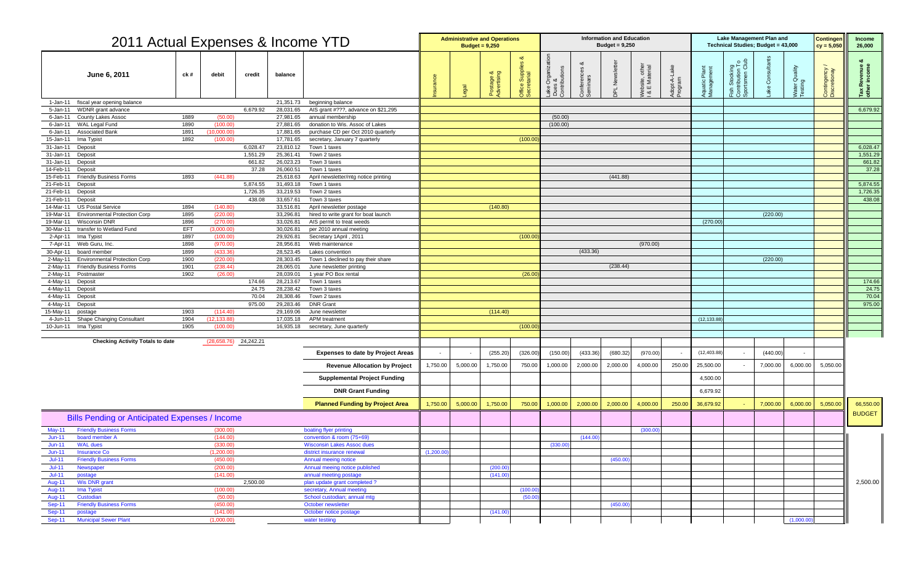| 2011 Actual Expenses & Income YTD                                             |              |                         |                      |                        |                                                                      |             | <b>Administrative and Operations</b> | Budget = $9,250$     |                                                       |                                                                                            |                       | <b>Information and Education</b><br>Budget = $9,250$ |                                |                         |                                      |                                                                   | <b>Lake Management Plan and</b><br>Technical Studies; Budget = 43,000 |                  | <b>Contingen</b><br>$cy = 5,050$ | <b>Income</b><br>26,000             |
|-------------------------------------------------------------------------------|--------------|-------------------------|----------------------|------------------------|----------------------------------------------------------------------|-------------|--------------------------------------|----------------------|-------------------------------------------------------|--------------------------------------------------------------------------------------------|-----------------------|------------------------------------------------------|--------------------------------|-------------------------|--------------------------------------|-------------------------------------------------------------------|-----------------------------------------------------------------------|------------------|----------------------------------|-------------------------------------|
| June 6, 2011                                                                  | ck #         | debit                   | credit               | balance                |                                                                      |             |                                      | stage &<br>vertising | ∞<br><u>යි</u><br>Suppl<br>tarial<br>Office<br>Secret | s &<br>ributions<br>Organiz<br>$\overline{a}$ $\overline{b}$ $\overline{c}$ $\overline{c}$ | onferences<br>eminars | $\frac{5}{2}$                                        | Vebsite, other<br>& E Material | Adopt-A-Lake<br>Program | Plant<br>iment<br>Aquatic<br>Managel | n Stocking<br>tribution To<br>ntsmen Club<br>Eish<br>Cont<br>Spor |                                                                       | $\bar{\sigma}$ ය | Contingency<br>Discretionay      | evenue<br>income<br>Tax Ro<br>other |
| fiscal year opening balance<br>1-Jan-11                                       |              |                         |                      | 21,351.73              | beginning balance                                                    |             |                                      |                      |                                                       |                                                                                            |                       |                                                      |                                |                         |                                      |                                                                   |                                                                       |                  |                                  |                                     |
| WDNR grant advance<br>5-Jan-11                                                |              |                         | 6,679.92             | 28,031.65              | AIS grant #???, advance on \$21,295                                  |             |                                      |                      |                                                       |                                                                                            |                       |                                                      |                                |                         |                                      |                                                                   |                                                                       |                  |                                  | 6,679.92                            |
| <b>County Lakes Assoc</b><br>6-Jan-11                                         | 1889         | (50.00)                 |                      | 27,981.65              | annual membership                                                    |             |                                      |                      |                                                       | (50.00)                                                                                    |                       |                                                      |                                |                         |                                      |                                                                   |                                                                       |                  |                                  |                                     |
| <b>WAL Legal Fund</b><br>6-Jan-11                                             | 1890         | (100.00)                |                      | 27,881.65              | donation to Wis. Assoc of Lakes                                      |             |                                      |                      |                                                       | (100.00)                                                                                   |                       |                                                      |                                |                         |                                      |                                                                   |                                                                       |                  |                                  |                                     |
| <b>Associated Bank</b><br>$6 - Jan-11$<br>Ima Typist<br>15-Jan-11             | 1891<br>1892 | (10,000.00)<br>(100.00) |                      | 17,881.65<br>17,781.65 | purchase CD per Oct 2010 quarterly<br>secretary, January 7 quarterly |             |                                      |                      | (100.00)                                              |                                                                                            |                       |                                                      |                                |                         |                                      |                                                                   |                                                                       |                  |                                  |                                     |
| 31-Jan-11 Deposit                                                             |              |                         | 6,028.47             | 23,810.12              | Town 1 taxes                                                         |             |                                      |                      |                                                       |                                                                                            |                       |                                                      |                                |                         |                                      |                                                                   |                                                                       |                  |                                  | 6,028.47                            |
| 31-Jan-11 Deposit                                                             |              |                         | 1,551.29             | 25,361.41              | Town 2 taxes                                                         |             |                                      |                      |                                                       |                                                                                            |                       |                                                      |                                |                         |                                      |                                                                   |                                                                       |                  |                                  | 1,551.29                            |
| 31-Jan-11 Deposit                                                             |              |                         | 661.82               | 26,023.23              | Town 3 taxes                                                         |             |                                      |                      |                                                       |                                                                                            |                       |                                                      |                                |                         |                                      |                                                                   |                                                                       |                  |                                  | 661.82                              |
| Deposit<br>14-Feb-11                                                          |              |                         | 37.28                | 26,060.51              | Town 1 taxes                                                         |             |                                      |                      |                                                       |                                                                                            |                       |                                                      |                                |                         |                                      |                                                                   |                                                                       |                  |                                  | 37.28                               |
| <b>Friendly Business Forms</b><br>15-Feb-11                                   | 1893         | (441.88)                |                      | 25,618.63              | April newsletter/mtg notice printing<br>Town 1 taxes                 |             |                                      |                      |                                                       |                                                                                            |                       | (441.88)                                             |                                |                         |                                      |                                                                   |                                                                       |                  |                                  | 5,874.55                            |
| 21-Feb-11 Deposit<br>Deposit<br>21-Feb-11                                     |              |                         | 5,874.55<br>1,726.35 | 31,493.18<br>33,219.53 | Town 2 taxes                                                         |             |                                      |                      |                                                       |                                                                                            |                       |                                                      |                                |                         |                                      |                                                                   |                                                                       |                  |                                  | 1,726.35                            |
| 21-Feb-11<br>Deposit                                                          |              |                         | 438.08               | 33,657.61              | Town 3 taxes                                                         |             |                                      |                      |                                                       |                                                                                            |                       |                                                      |                                |                         |                                      |                                                                   |                                                                       |                  |                                  | 438.08                              |
| <b>US Postal Service</b><br>14-Mar-11                                         | 1894         | (140.80)                |                      | 33,516.81              | April newsletter postage                                             |             |                                      | (140.80)             |                                                       |                                                                                            |                       |                                                      |                                |                         |                                      |                                                                   |                                                                       |                  |                                  |                                     |
| <b>Environmental Protection Corp</b><br>19-Mar-11                             | 1895         | (220.00)                |                      | 33,296.81              | hired to write grant for boat launch                                 |             |                                      |                      |                                                       |                                                                                            |                       |                                                      |                                |                         |                                      |                                                                   | (220.00)                                                              |                  |                                  |                                     |
| <b>Wisconsin DNR</b><br>19-Mar-11                                             | 1896         | (270.00)                |                      | 33,026.81              | AIS permit to treat weeds                                            |             |                                      |                      |                                                       |                                                                                            |                       |                                                      |                                |                         | (270.00)                             |                                                                   |                                                                       |                  |                                  |                                     |
| transfer to Wetland Fund<br>30-Mar-11                                         | <b>EFT</b>   | (3,000.00)              |                      | 30,026.81              | per 2010 annual meeting                                              |             |                                      |                      |                                                       |                                                                                            |                       |                                                      |                                |                         |                                      |                                                                   |                                                                       |                  |                                  |                                     |
| 2-Apr-11 Ima Typist                                                           | 1897         | (100.00)                |                      | 29,926.81              | Secretary 1April, 2011                                               |             |                                      |                      | (100.00)                                              |                                                                                            |                       |                                                      |                                |                         |                                      |                                                                   |                                                                       |                  |                                  |                                     |
| Web Guru, Inc.<br>7-Apr-11<br>30-Apr-11<br>board member                       | 1898<br>1899 | (970.00)<br>(433.36)    |                      | 28,956.81<br>28,523.45 | Web maintenance<br>Lakes convention                                  |             |                                      |                      |                                                       |                                                                                            | (433.36)              |                                                      | (970.00)                       |                         |                                      |                                                                   |                                                                       |                  |                                  |                                     |
| 2-May-11 Environmental Protection Corp                                        | 1900         | (220.00)                |                      | 28,303.45              | Town 1 declined to pay their share                                   |             |                                      |                      |                                                       |                                                                                            |                       |                                                      |                                |                         |                                      |                                                                   | (220.00)                                                              |                  |                                  |                                     |
| 2-May-11 Friendly Business Forms                                              | 1901         | (238.44)                |                      | 28,065.01              | June newsletter printing                                             |             |                                      |                      |                                                       |                                                                                            |                       | (238.44)                                             |                                |                         |                                      |                                                                   |                                                                       |                  |                                  |                                     |
| 2-May-11 Postmaster                                                           | 1902         | (26.00)                 |                      | 28,039.01              | 1 year PO Box rental                                                 |             |                                      |                      | (26.00)                                               |                                                                                            |                       |                                                      |                                |                         |                                      |                                                                   |                                                                       |                  |                                  |                                     |
| 4-May-11 Deposit                                                              |              |                         | 174.66               | 28,213.67              | Town 1 taxes                                                         |             |                                      |                      |                                                       |                                                                                            |                       |                                                      |                                |                         |                                      |                                                                   |                                                                       |                  |                                  | 174.66                              |
| 4-May-11 Deposit                                                              |              |                         | 24.75                | 28,238.42              | Town 3 taxes                                                         |             |                                      |                      |                                                       |                                                                                            |                       |                                                      |                                |                         |                                      |                                                                   |                                                                       |                  |                                  | 24.75                               |
| 4-May-11 Deposit                                                              |              |                         | 70.04                |                        | 28,308.46 Town 2 taxes                                               |             |                                      |                      |                                                       |                                                                                            |                       |                                                      |                                |                         |                                      |                                                                   |                                                                       |                  |                                  | 70.04                               |
| 4-May-11 Deposit<br>15-May-11 postage                                         | 1903         | (114.40)                | 975.00               | 29,283.46<br>29,169.06 | <b>DNR Grant</b><br>June newsletter                                  |             |                                      | (114.40)             |                                                       |                                                                                            |                       |                                                      |                                |                         |                                      |                                                                   |                                                                       |                  |                                  | 975.00                              |
| 4-Jun-11 Shape Changing Consultant                                            | 1904         | (12, 133.88)            |                      | 17,035.18              | <b>APM</b> treatment                                                 |             |                                      |                      |                                                       |                                                                                            |                       |                                                      |                                |                         | (12, 133.88)                         |                                                                   |                                                                       |                  |                                  |                                     |
| 10-Jun-11 Ima Typist                                                          | 1905         | (100.00)                |                      | 16,935.18              | secretary, June quarterly                                            |             |                                      |                      | (100.00)                                              |                                                                                            |                       |                                                      |                                |                         |                                      |                                                                   |                                                                       |                  |                                  |                                     |
|                                                                               |              |                         |                      |                        |                                                                      |             |                                      |                      |                                                       |                                                                                            |                       |                                                      |                                |                         |                                      |                                                                   |                                                                       |                  |                                  |                                     |
| <b>Checking Activity Totals to date</b>                                       |              | $(28,658.76)$ 24,242.21 |                      |                        |                                                                      |             |                                      |                      |                                                       |                                                                                            |                       |                                                      |                                |                         |                                      |                                                                   |                                                                       |                  |                                  |                                     |
|                                                                               |              |                         |                      |                        | <b>Expenses to date by Project Areas</b>                             | $\sim$      |                                      | (255.20)             | (326.00)                                              | (150.00)                                                                                   | (433.36)              | (680.32)                                             | (970.00)                       |                         | (12, 403.88)                         | $\sim$                                                            | (440.00)                                                              |                  |                                  |                                     |
|                                                                               |              |                         |                      |                        | <b>Revenue Allocation by Project</b>                                 | 1,750.00    | 5,000.00                             | 1,750.00             | 750.00                                                | 1,000.00                                                                                   | 2,000.00              | 2,000.00                                             | 4,000.00                       | 250.00                  | 25,500.00                            | $\sim$                                                            | 7,000.00                                                              | 6,000.00         | 5,050.00                         |                                     |
|                                                                               |              |                         |                      |                        | <b>Supplemental Project Funding</b>                                  |             |                                      |                      |                                                       |                                                                                            |                       |                                                      |                                |                         | 4,500.00                             |                                                                   |                                                                       |                  |                                  |                                     |
|                                                                               |              |                         |                      |                        | <b>DNR Grant Funding</b>                                             |             |                                      |                      |                                                       |                                                                                            |                       |                                                      |                                |                         | 6,679.92                             |                                                                   |                                                                       |                  |                                  |                                     |
|                                                                               |              |                         |                      |                        | <b>Planned Funding by Project Area</b>                               | 1,750.00    | 5,000.00                             | 1,750.00             | 750.00                                                | 1,000.00                                                                                   | 2,000.00              | 2,000.00                                             | 4,000.00                       | 250.00                  | 36,679.92                            | $\sim$                                                            | 7,000.00                                                              | 6,000.00         | 5,050.00                         | 66,550.00                           |
| <b>Bills Pending or Anticipated Expenses / Income</b>                         |              |                         |                      |                        |                                                                      |             |                                      |                      |                                                       |                                                                                            |                       |                                                      |                                |                         |                                      |                                                                   |                                                                       |                  |                                  | <b>BUDGET</b>                       |
| <b>Friendly Business Forms</b><br><b>May-11</b>                               |              | (300.00)                |                      |                        | boating flyer printing                                               |             |                                      |                      |                                                       |                                                                                            |                       |                                                      | (300.00)                       |                         |                                      |                                                                   |                                                                       |                  |                                  |                                     |
| board member A<br>$Jun-11$                                                    |              | (144.00)                |                      |                        | convention & room (75+69)                                            |             |                                      |                      |                                                       |                                                                                            | (144.00)              |                                                      |                                |                         |                                      |                                                                   |                                                                       |                  |                                  |                                     |
| <b>WAL dues</b><br>$Jun-11$                                                   |              | (330.00)                |                      |                        | <b>Wisconsin Lakes Assoc dues</b>                                    |             |                                      |                      |                                                       | (330.00)                                                                                   |                       |                                                      |                                |                         |                                      |                                                                   |                                                                       |                  |                                  |                                     |
| <b>Insurance Co</b><br>$Jun-11$<br><b>Friendly Business Forms</b><br>$Jul-11$ |              | (1,200.00)<br>(450.00)  |                      |                        | district insurance renewal<br>Annual meeing notice                   | (1, 200.00) |                                      |                      |                                                       |                                                                                            |                       | (450.00)                                             |                                |                         |                                      |                                                                   |                                                                       |                  |                                  |                                     |
| $Jul-11$<br>Newspaper                                                         |              | (200.00)                |                      |                        | Annual meeing notice published                                       |             |                                      | (200.00)             |                                                       |                                                                                            |                       |                                                      |                                |                         |                                      |                                                                   |                                                                       |                  |                                  |                                     |
| $Jul-11$<br>postage                                                           |              | (141.00)                |                      |                        | annual meeting postage                                               |             |                                      | (141.00)             |                                                       |                                                                                            |                       |                                                      |                                |                         |                                      |                                                                   |                                                                       |                  |                                  |                                     |
| Wis DNR grant<br><b>Aug-11</b>                                                |              |                         | 2,500.00             |                        | plan update grant completed?                                         |             |                                      |                      |                                                       |                                                                                            |                       |                                                      |                                |                         |                                      |                                                                   |                                                                       |                  |                                  | 2,500.00                            |
| Ima Typist<br><b>Aug-11</b>                                                   |              | (100.00)                |                      |                        | secretary, Annual meeting                                            |             |                                      |                      | (100.00)                                              |                                                                                            |                       |                                                      |                                |                         |                                      |                                                                   |                                                                       |                  |                                  |                                     |
| Custodian<br><b>Aug-11</b>                                                    |              | (50.00)                 |                      |                        | School custodian; annual mtg                                         |             |                                      |                      | (50.00)                                               |                                                                                            |                       |                                                      |                                |                         |                                      |                                                                   |                                                                       |                  |                                  |                                     |
| <b>Friendly Business Forms</b><br><b>Sep-11</b>                               |              | (450.00)                |                      |                        | October newsletter                                                   |             |                                      |                      |                                                       |                                                                                            |                       | (450.00)                                             |                                |                         |                                      |                                                                   |                                                                       |                  |                                  |                                     |
| Sep-11<br>postage<br><b>Municipal Sewer Plant</b><br><b>Sep-11</b>            |              | (141.00)<br>(1,000.00)  |                      |                        | October notice postage<br>water testiing                             |             |                                      | (141.00)             |                                                       |                                                                                            |                       |                                                      |                                |                         |                                      |                                                                   |                                                                       | (1,000.00)       |                                  |                                     |
|                                                                               |              |                         |                      |                        |                                                                      |             |                                      |                      |                                                       |                                                                                            |                       |                                                      |                                |                         |                                      |                                                                   |                                                                       |                  |                                  |                                     |